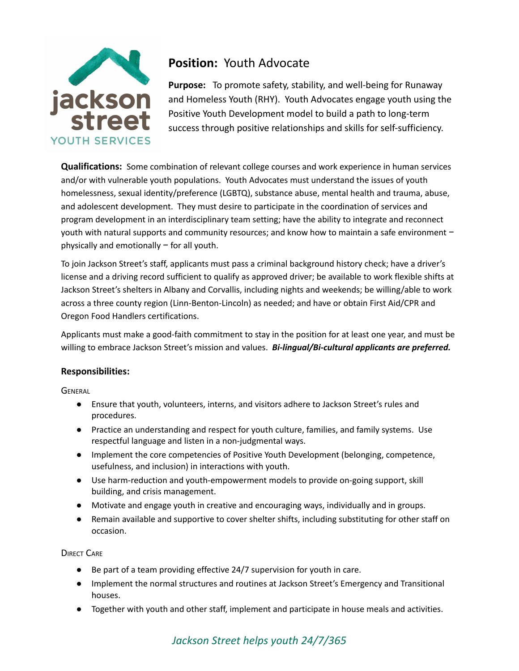

## **Position:** Youth Advocate

**Purpose:** To promote safety, stability, and well-being for Runaway and Homeless Youth (RHY). Youth Advocates engage youth using the Positive Youth Development model to build a path to long-term success through positive relationships and skills for self-sufficiency.

**Qualifications:** Some combination of relevant college courses and work experience in human services and/or with vulnerable youth populations. Youth Advocates must understand the issues of youth homelessness, sexual identity/preference (LGBTQ), substance abuse, mental health and trauma, abuse, and adolescent development. They must desire to participate in the coordination of services and program development in an interdisciplinary team setting; have the ability to integrate and reconnect youth with natural supports and community resources; and know how to maintain a safe environment − physically and emotionally − for all youth.

To join Jackson Street's staff, applicants must pass a criminal background history check; have a driver's license and a driving record sufficient to qualify as approved driver; be available to work flexible shifts at Jackson Street's shelters in Albany and Corvallis, including nights and weekends; be willing/able to work across a three county region (Linn-Benton-Lincoln) as needed; and have or obtain First Aid/CPR and Oregon Food Handlers certifications.

Applicants must make a good-faith commitment to stay in the position for at least one year, and must be willing to embrace Jackson Street's mission and values. *Bi-lingual/Bi-cultural applicants are preferred.*

## **Responsibilities:**

**GENERAL** 

- **●** Ensure that youth, volunteers, interns, and visitors adhere to Jackson Street's rules and procedures.
- **●** Practice an understanding and respect for youth culture, families, and family systems. Use respectful language and listen in a non-judgmental ways.
- **●** Implement the core competencies of Positive Youth Development (belonging, competence, usefulness, and inclusion) in interactions with youth.
- **●** Use harm-reduction and youth-empowerment models to provide on-going support, skill building, and crisis management.
- **●** Motivate and engage youth in creative and encouraging ways, individually and in groups.
- **●** Remain available and supportive to cover shelter shifts, including substituting for other staff on occasion.

**DIRECT CARE** 

- Be part of a team providing effective 24/7 supervision for youth in care.
- Implement the normal structures and routines at Jackson Street's Emergency and Transitional houses.
- Together with youth and other staff, implement and participate in house meals and activities.

## *Jackson Street helps youth 24/7/365*